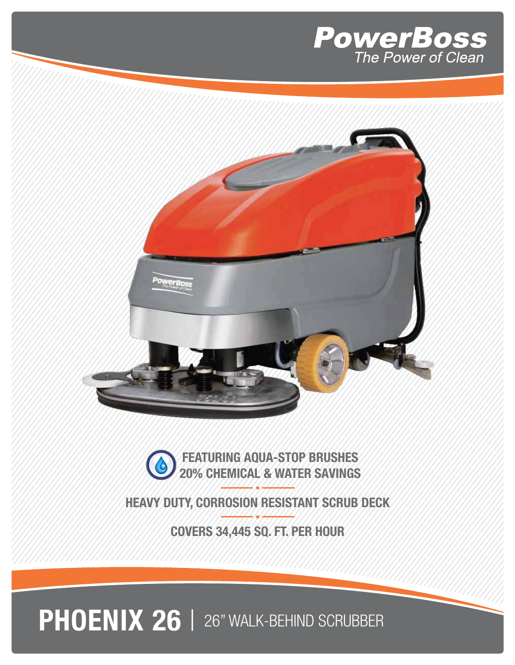



**EXAMPLE AQUA-STOP BRUSHES** 20% CHEMICAL & WATER SAVINGS

HEAVY DUTY, CORROSION RESISTANT SCRUB DECK

COVERS 34,445 SQ. FT. PER HOUR

PHOENIX 26 | 26" WALK-BEHIND SCRUBBER